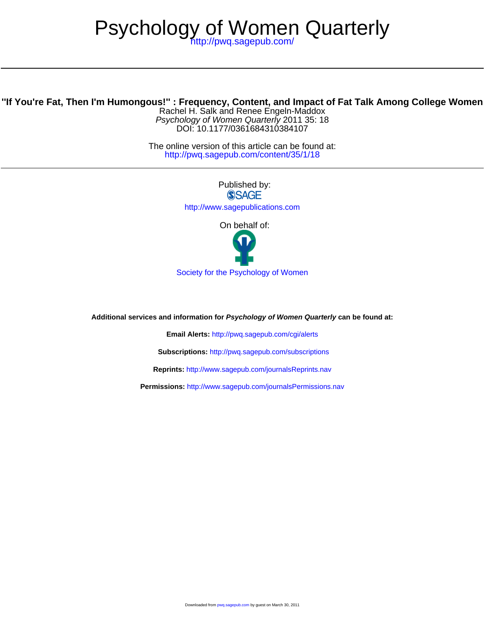# <http://pwq.sagepub.com/> Psychology of Women Quarterly

# **''If You're Fat, Then I'm Humongous!'' : Frequency, Content, and Impact of Fat Talk Among College Women**

DOI: 10.1177/0361684310384107 Psychology of Women Quarterly 2011 35: 18 Rachel H. Salk and Renee Engeln-Maddox

<http://pwq.sagepub.com/content/35/1/18> The online version of this article can be found at:



[Society for the Psychology of Women](http://www.apa.org/divisions/div35)

**Additional services and information for Psychology of Women Quarterly can be found at:**

**Email Alerts:** <http://pwq.sagepub.com/cgi/alerts>

**Subscriptions:** <http://pwq.sagepub.com/subscriptions>

**Reprints:** <http://www.sagepub.com/journalsReprints.nav>

**Permissions:** <http://www.sagepub.com/journalsPermissions.nav>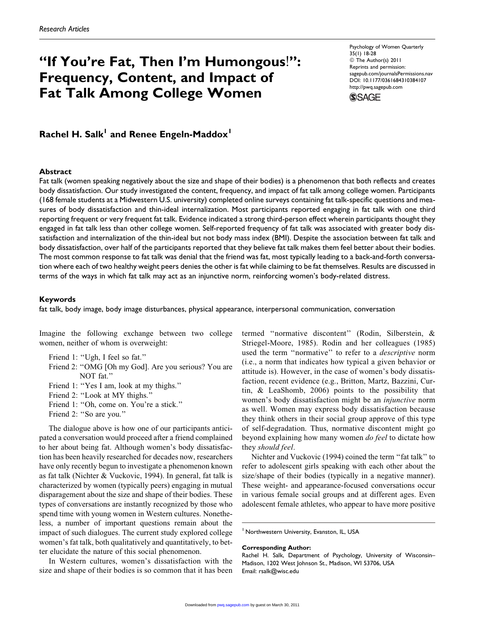# ''If You're Fat, Then I'm Humongous!'': Frequency, Content, and Impact of Fat Talk Among College Women

Psychology of Women Quarterly 35(1) 18-28 © The Author(s) 2011 Reprints and permission: sagepub.com/journalsPermissions.nav DOI: 10.1177/0361684310384107 http://pwq.sagepub.com



Rachel H. Salk<sup>1</sup> and Renee Engeln-Maddox<sup>1</sup>

#### Abstract

Fat talk (women speaking negatively about the size and shape of their bodies) is a phenomenon that both reflects and creates body dissatisfaction. Our study investigated the content, frequency, and impact of fat talk among college women. Participants (168 female students at a Midwestern U.S. university) completed online surveys containing fat talk-specific questions and measures of body dissatisfaction and thin-ideal internalization. Most participants reported engaging in fat talk with one third reporting frequent or very frequent fat talk. Evidence indicated a strong third-person effect wherein participants thought they engaged in fat talk less than other college women. Self-reported frequency of fat talk was associated with greater body dissatisfaction and internalization of the thin-ideal but not body mass index (BMI). Despite the association between fat talk and body dissatisfaction, over half of the participants reported that they believe fat talk makes them feel better about their bodies. The most common response to fat talk was denial that the friend was fat, most typically leading to a back-and-forth conversation where each of two healthy weight peers denies the other is fat while claiming to be fat themselves. Results are discussed in terms of the ways in which fat talk may act as an injunctive norm, reinforcing women's body-related distress.

#### Keywords

fat talk, body image, body image disturbances, physical appearance, interpersonal communication, conversation

Imagine the following exchange between two college women, neither of whom is overweight:

Friend 1: "Ugh, I feel so fat."

- Friend 2: "OMG [Oh my God]. Are you serious? You are NOT fat.''
- Friend 1: "Yes I am, look at my thighs."
- Friend 2: "Look at MY thighs."
- Friend 1: "Oh, come on. You're a stick."
- Friend 2: "So are you."

The dialogue above is how one of our participants anticipated a conversation would proceed after a friend complained to her about being fat. Although women's body dissatisfaction has been heavily researched for decades now, researchers have only recently begun to investigate a phenomenon known as fat talk (Nichter & Vuckovic, 1994). In general, fat talk is characterized by women (typically peers) engaging in mutual disparagement about the size and shape of their bodies. These types of conversations are instantly recognized by those who spend time with young women in Western cultures. Nonetheless, a number of important questions remain about the impact of such dialogues. The current study explored college women's fat talk, both qualitatively and quantitatively, to better elucidate the nature of this social phenomenon.

In Western cultures, women's dissatisfaction with the size and shape of their bodies is so common that it has been termed ''normative discontent'' (Rodin, Silberstein, & Striegel-Moore, 1985). Rodin and her colleagues (1985) used the term "normative" to refer to a *descriptive* norm (i.e., a norm that indicates how typical a given behavior or attitude is). However, in the case of women's body dissatisfaction, recent evidence (e.g., Britton, Martz, Bazzini, Curtin, & LeaShomb, 2006) points to the possibility that women's body dissatisfaction might be an injunctive norm as well. Women may express body dissatisfaction because they think others in their social group approve of this type of self-degradation. Thus, normative discontent might go beyond explaining how many women *do feel* to dictate how they should feel.

Nichter and Vuckovic (1994) coined the term ''fat talk'' to refer to adolescent girls speaking with each other about the size/shape of their bodies (typically in a negative manner). These weight- and appearance-focused conversations occur in various female social groups and at different ages. Even adolescent female athletes, who appear to have more positive

<sup>1</sup> Northwestern University, Evanston, IL, USA

#### Corresponding Author:

Rachel H. Salk, Department of Psychology, University of Wisconsin– Madison, 1202 West Johnson St., Madison, WI 53706, USA Email: rsalk@wisc.edu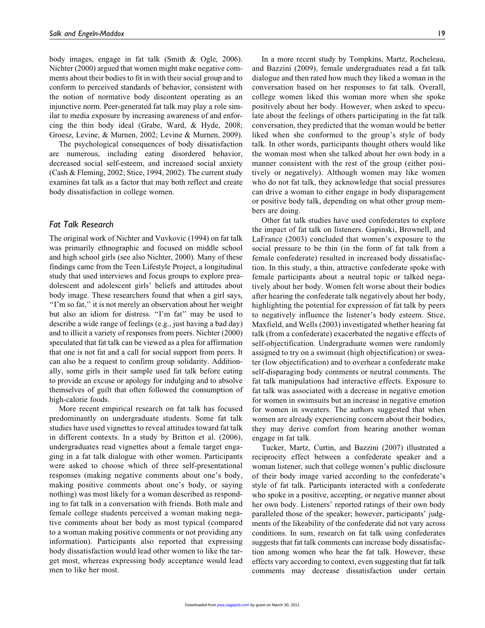body images, engage in fat talk (Smith & Ogle, 2006). Nichter (2000) argued that women might make negative comments about their bodies to fit in with their social group and to conform to perceived standards of behavior, consistent with the notion of normative body discontent operating as an injunctive norm. Peer-generated fat talk may play a role similar to media exposure by increasing awareness of and enforcing the thin body ideal (Grabe, Ward, & Hyde, 2008; Groesz, Levine, & Murnen, 2002; Levine & Murnen, 2009).

The psychological consequences of body dissatisfaction are numerous, including eating disordered behavior, decreased social self-esteem, and increased social anxiety (Cash & Fleming, 2002; Stice, 1994, 2002). The current study examines fat talk as a factor that may both reflect and create body dissatisfaction in college women.

## Fat Talk Research

The original work of Nichter and Vuvkovic (1994) on fat talk was primarily ethnographic and focused on middle school and high school girls (see also Nichter, 2000). Many of these findings came from the Teen Lifestyle Project, a longitudinal study that used interviews and focus groups to explore preadolescent and adolescent girls' beliefs and attitudes about body image. These researchers found that when a girl says, "I'm so fat," it is not merely an observation about her weight but also an idiom for distress. ''I'm fat'' may be used to describe a wide range of feelings (e.g., just having a bad day) and to illicit a variety of responses from peers. Nichter (2000) speculated that fat talk can be viewed as a plea for affirmation that one is not fat and a call for social support from peers. It can also be a request to confirm group solidarity. Additionally, some girls in their sample used fat talk before eating to provide an excuse or apology for indulging and to absolve themselves of guilt that often followed the consumption of high-calorie foods.

More recent empirical research on fat talk has focused predominantly on undergraduate students. Some fat talk studies have used vignettes to reveal attitudes toward fat talk in different contexts. In a study by Britton et al. (2006), undergraduates read vignettes about a female target engaging in a fat talk dialogue with other women. Participants were asked to choose which of three self-presentational responses (making negative comments about one's body, making positive comments about one's body, or saying nothing) was most likely for a woman described as responding to fat talk in a conversation with friends. Both male and female college students perceived a woman making negative comments about her body as most typical (compared to a woman making positive comments or not providing any information). Participants also reported that expressing body dissatisfaction would lead other women to like the target most, whereas expressing body acceptance would lead men to like her most.

and Bazzini (2009), female undergraduates read a fat talk dialogue and then rated how much they liked a woman in the conversation based on her responses to fat talk. Overall, college women liked this woman more when she spoke positively about her body. However, when asked to speculate about the feelings of others participating in the fat talk conversation, they predicted that the woman would be better liked when she conformed to the group's style of body talk. In other words, participants thought others would like the woman most when she talked about her own body in a manner consistent with the rest of the group (either positively or negatively). Although women may like women who do not fat talk, they acknowledge that social pressures can drive a woman to either engage in body disparagement or positive body talk, depending on what other group members are doing.

Other fat talk studies have used confederates to explore the impact of fat talk on listeners. Gapinski, Brownell, and LaFrance (2003) concluded that women's exposure to the social pressure to be thin (in the form of fat talk from a female confederate) resulted in increased body dissatisfaction. In this study, a thin, attractive confederate spoke with female participants about a neutral topic or talked negatively about her body. Women felt worse about their bodies after hearing the confederate talk negatively about her body, highlighting the potential for expression of fat talk by peers to negatively influence the listener's body esteem. Stice, Maxfield, and Wells (2003) investigated whether hearing fat talk (from a confederate) exacerbated the negative effects of self-objectification. Undergraduate women were randomly assigned to try on a swimsuit (high objectification) or sweater (low objectification) and to overhear a confederate make self-disparaging body comments or neutral comments. The fat talk manipulations had interactive effects. Exposure to fat talk was associated with a decrease in negative emotion for women in swimsuits but an increase in negative emotion for women in sweaters. The authors suggested that when women are already experiencing concern about their bodies, they may derive comfort from hearing another woman engage in fat talk.

Tucker, Martz, Curtin, and Bazzini (2007) illustrated a reciprocity effect between a confederate speaker and a woman listener, such that college women's public disclosure of their body image varied according to the confederate's style of fat talk. Participants interacted with a confederate who spoke in a positive, accepting, or negative manner about her own body. Listeners' reported ratings of their own body paralleled those of the speaker; however, participants' judgments of the likeability of the confederate did not vary across conditions. In sum, research on fat talk using confederates suggests that fat talk comments can increase body dissatisfaction among women who hear the fat talk. However, these effects vary according to context, even suggesting that fat talk comments may decrease dissatisfaction under certain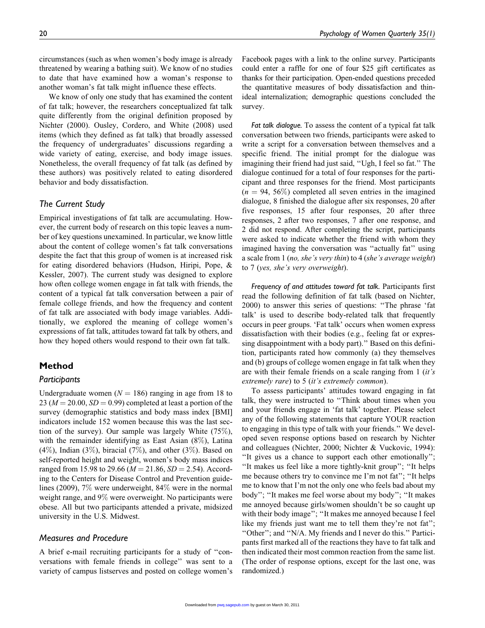circumstances (such as when women's body image is already threatened by wearing a bathing suit). We know of no studies to date that have examined how a woman's response to another woman's fat talk might influence these effects.

We know of only one study that has examined the content of fat talk; however, the researchers conceptualized fat talk quite differently from the original definition proposed by Nichter (2000). Ousley, Cordero, and White (2008) used items (which they defined as fat talk) that broadly assessed the frequency of undergraduates' discussions regarding a wide variety of eating, exercise, and body image issues. Nonetheless, the overall frequency of fat talk (as defined by these authors) was positively related to eating disordered behavior and body dissatisfaction.

## The Current Study

Empirical investigations of fat talk are accumulating. However, the current body of research on this topic leaves a number of key questions unexamined. In particular, we know little about the content of college women's fat talk conversations despite the fact that this group of women is at increased risk for eating disordered behaviors (Hudson, Hiripi, Pope, & Kessler, 2007). The current study was designed to explore how often college women engage in fat talk with friends, the content of a typical fat talk conversation between a pair of female college friends, and how the frequency and content of fat talk are associated with body image variables. Additionally, we explored the meaning of college women's expressions of fat talk, attitudes toward fat talk by others, and how they hoped others would respond to their own fat talk.

## Method

## **Participants**

Undergraduate women ( $N = 186$ ) ranging in age from 18 to 23 ( $M = 20.00$ ,  $SD = 0.99$ ) completed at least a portion of the survey (demographic statistics and body mass index [BMI] indicators include 152 women because this was the last section of the survey). Our sample was largely White (75%), with the remainder identifying as East Asian (8%), Latina  $(4\%)$ , Indian  $(3\%)$ , biracial  $(7\%)$ , and other  $(3\%)$ . Based on self-reported height and weight, women's body mass indices ranged from 15.98 to 29.66 ( $M = 21.86$ ,  $SD = 2.54$ ). According to the Centers for Disease Control and Prevention guidelines (2009), 7% were underweight, 84% were in the normal weight range, and 9% were overweight. No participants were obese. All but two participants attended a private, midsized university in the U.S. Midwest.

### Measures and Procedure

A brief e-mail recruiting participants for a study of ''conversations with female friends in college'' was sent to a variety of campus listserves and posted on college women's

Facebook pages with a link to the online survey. Participants could enter a raffle for one of four \$25 gift certificates as thanks for their participation. Open-ended questions preceded the quantitative measures of body dissatisfaction and thinideal internalization; demographic questions concluded the survey.

Fat talk dialogue. To assess the content of a typical fat talk conversation between two friends, participants were asked to write a script for a conversation between themselves and a specific friend. The initial prompt for the dialogue was imagining their friend had just said, ''Ugh, I feel so fat.'' The dialogue continued for a total of four responses for the participant and three responses for the friend. Most participants  $(n = 94, 56\%)$  completed all seven entries in the imagined dialogue, 8 finished the dialogue after six responses, 20 after five responses, 15 after four responses, 20 after three responses, 2 after two responses, 7 after one response, and 2 did not respond. After completing the script, participants were asked to indicate whether the friend with whom they imagined having the conversation was ''actually fat'' using a scale from 1 (no, she's very thin) to 4 (she's average weight) to 7 (yes, she's very overweight).

Frequency of and attitudes toward fat talk. Participants first read the following definition of fat talk (based on Nichter, 2000) to answer this series of questions: ''The phrase 'fat talk' is used to describe body-related talk that frequently occurs in peer groups. 'Fat talk' occurs when women express dissatisfaction with their bodies (e.g., feeling fat or expressing disappointment with a body part).'' Based on this definition, participants rated how commonly (a) they themselves and (b) groups of college women engage in fat talk when they are with their female friends on a scale ranging from 1 (it's extremely rare) to 5 (it's extremely common).

To assess participants' attitudes toward engaging in fat talk, they were instructed to ''Think about times when you and your friends engage in 'fat talk' together. Please select any of the following statements that capture YOUR reaction to engaging in this type of talk with your friends.'' We developed seven response options based on research by Nichter and colleagues (Nichter, 2000; Nichter & Vuckovic, 1994): ''It gives us a chance to support each other emotionally''; ''It makes us feel like a more tightly-knit group''; ''It helps me because others try to convince me I'm not fat''; ''It helps me to know that I'm not the only one who feels bad about my body''; ''It makes me feel worse about my body''; ''It makes me annoyed because girls/women shouldn't be so caught up with their body image''; ''It makes me annoyed because I feel like my friends just want me to tell them they're not fat''; ''Other''; and ''N/A. My friends and I never do this.'' Participants first marked all of the reactions they have to fat talk and then indicated their most common reaction from the same list. (The order of response options, except for the last one, was randomized.)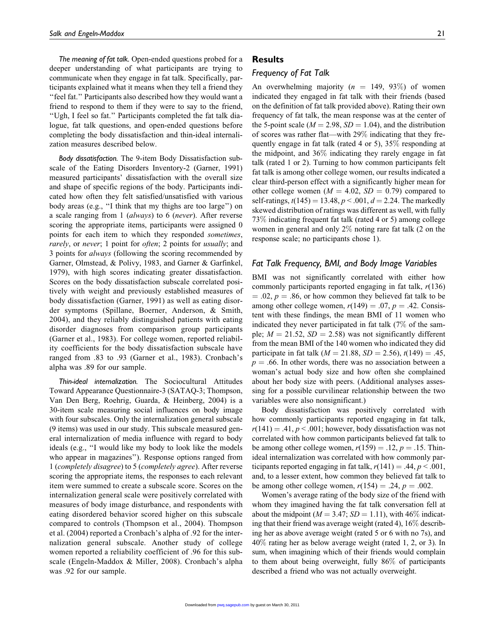The meaning of fat talk. Open-ended questions probed for a deeper understanding of what participants are trying to communicate when they engage in fat talk. Specifically, participants explained what it means when they tell a friend they "feel fat." Participants also described how they would want a friend to respond to them if they were to say to the friend, ''Ugh, I feel so fat.'' Participants completed the fat talk dialogue, fat talk questions, and open-ended questions before completing the body dissatisfaction and thin-ideal internalization measures described below.

Body dissatisfaction. The 9-item Body Dissatisfaction subscale of the Eating Disorders Inventory-2 (Garner, 1991) measured participants' dissatisfaction with the overall size and shape of specific regions of the body. Participants indicated how often they felt satisfied/unsatisfied with various body areas (e.g., ''I think that my thighs are too large'') on a scale ranging from 1 (always) to 6 (never). After reverse scoring the appropriate items, participants were assigned 0 points for each item to which they responded sometimes, rarely, or never; 1 point for often; 2 points for usually; and 3 points for always (following the scoring recommended by Garner, Olmstead, & Polivy, 1983, and Garner & Garfinkel, 1979), with high scores indicating greater dissatisfaction. Scores on the body dissatisfaction subscale correlated positively with weight and previously established measures of body dissatisfaction (Garner, 1991) as well as eating disorder symptoms (Spillane, Boerner, Anderson, & Smith, 2004), and they reliably distinguished patients with eating disorder diagnoses from comparison group participants (Garner et al., 1983). For college women, reported reliability coefficients for the body dissatisfaction subscale have ranged from .83 to .93 (Garner et al., 1983). Cronbach's alpha was .89 for our sample.

Thin-ideal internalization. The Sociocultural Attitudes Toward Appearance Questionnaire-3 (SATAQ-3; Thompson, Van Den Berg, Roehrig, Guarda, & Heinberg, 2004) is a 30-item scale measuring social influences on body image with four subscales. Only the internalization general subscale (9 items) was used in our study. This subscale measured general internalization of media influence with regard to body ideals (e.g., ''I would like my body to look like the models who appear in magazines''). Response options ranged from 1 (completely disagree) to 5 (completely agree). After reverse scoring the appropriate items, the responses to each relevant item were summed to create a subscale score. Scores on the internalization general scale were positively correlated with measures of body image disturbance, and respondents with eating disordered behavior scored higher on this subscale compared to controls (Thompson et al., 2004). Thompson et al. (2004) reported a Cronbach's alpha of .92 for the internalization general subscale. Another study of college women reported a reliability coefficient of .96 for this subscale (Engeln-Maddox & Miller, 2008). Cronbach's alpha was .92 for our sample.

## Frequency of Fat Talk

An overwhelming majority ( $n = 149, 93\%$ ) of women indicated they engaged in fat talk with their friends (based on the definition of fat talk provided above). Rating their own frequency of fat talk, the mean response was at the center of the 5-point scale ( $M = 2.98$ ,  $SD = 1.04$ ), and the distribution of scores was rather flat—with 29% indicating that they frequently engage in fat talk (rated 4 or 5), 35% responding at the midpoint, and 36% indicating they rarely engage in fat talk (rated 1 or 2). Turning to how common participants felt fat talk is among other college women, our results indicated a clear third-person effect with a significantly higher mean for other college women ( $M = 4.02$ ,  $SD = 0.79$ ) compared to self-ratings,  $t(145) = 13.48, p < .001, d = 2.24$ . The markedly skewed distribution of ratings was different as well, with fully 73% indicating frequent fat talk (rated 4 or 5) among college women in general and only 2% noting rare fat talk (2 on the response scale; no participants chose 1).

#### Fat Talk Frequency, BMI, and Body Image Variables

BMI was not significantly correlated with either how commonly participants reported engaging in fat talk,  $r(136)$  $= .02, p = .86$ , or how common they believed fat talk to be among other college women,  $r(149) = .07$ ,  $p = .42$ . Consistent with these findings, the mean BMI of 11 women who indicated they never participated in fat talk (7% of the sample;  $M = 21.52$ ,  $SD = 2.58$ ) was not significantly different from the mean BMI of the 140 women who indicated they did participate in fat talk ( $M = 21.88$ ,  $SD = 2.56$ ),  $t(149) = .45$ ,  $p = .66$ . In other words, there was no association between a woman's actual body size and how often she complained about her body size with peers. (Additional analyses assessing for a possible curvilinear relationship between the two variables were also nonsignificant.)

Body dissatisfaction was positively correlated with how commonly participants reported engaging in fat talk,  $r(141) = .41$ ,  $p < .001$ ; however, body dissatisfaction was not correlated with how common participants believed fat talk to be among other college women,  $r(159) = .12$ ,  $p = .15$ . Thinideal internalization was correlated with how commonly participants reported engaging in fat talk,  $r(141) = .44, p < .001,$ and, to a lesser extent, how common they believed fat talk to be among other college women,  $r(154) = .24$ ,  $p = .002$ .

Women's average rating of the body size of the friend with whom they imagined having the fat talk conversation fell at about the midpoint ( $M = 3.47$ ;  $SD = 1.11$ ), with 46% indicating that their friend was average weight (rated 4), 16% describing her as above average weight (rated 5 or 6 with no 7s), and 40% rating her as below average weight (rated 1, 2, or 3). In sum, when imagining which of their friends would complain to them about being overweight, fully 86% of participants described a friend who was not actually overweight.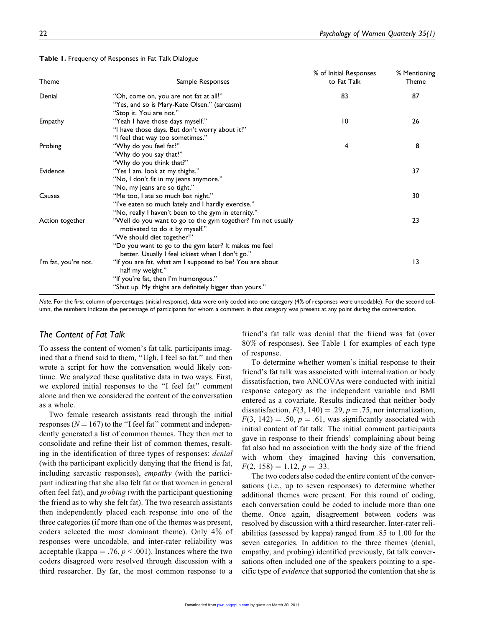| Theme                | Sample Responses                                                                                          | % of Initial Responses<br>to Fat Talk | % Mentioning<br>Theme |
|----------------------|-----------------------------------------------------------------------------------------------------------|---------------------------------------|-----------------------|
| Denial               | "Oh, come on, you are not fat at all!"                                                                    | 83                                    | 87                    |
|                      | "Yes, and so is Mary-Kate Olsen." (sarcasm)                                                               |                                       |                       |
|                      | "Stop it. You are not."                                                                                   |                                       |                       |
| Empathy              | "Yeah I have those days myself."                                                                          | $\overline{10}$                       | 26                    |
|                      | "I have those days. But don't worry about it!"                                                            |                                       |                       |
|                      | "I feel that way too sometimes."                                                                          |                                       |                       |
| Probing              | "Why do you feel fat?"                                                                                    | 4                                     | 8                     |
|                      | "Why do you say that?"                                                                                    |                                       |                       |
|                      | "Why do you think that?"                                                                                  |                                       |                       |
| Evidence             | "Yes I am, look at my thighs."                                                                            |                                       | 37                    |
|                      | "No, I don't fit in my jeans anymore."                                                                    |                                       |                       |
|                      | "No, my jeans are so tight."                                                                              |                                       |                       |
| Causes               | "Me too, I ate so much last night."                                                                       |                                       | 30                    |
|                      | "I've eaten so much lately and I hardly exercise."                                                        |                                       |                       |
|                      | "No, really I haven't been to the gym in eternity."                                                       |                                       |                       |
| Action together      | "Well do you want to go to the gym together? I'm not usually<br>motivated to do it by myself."            |                                       | 23                    |
|                      | "We should diet together!"                                                                                |                                       |                       |
|                      | "Do you want to go to the gym later? It makes me feel<br>better. Usually I feel ickiest when I don't go." |                                       |                       |
| I'm fat, you're not. | "If you are fat, what am I supposed to be? You are about<br>half my weight."                              |                                       | $\overline{13}$       |
|                      | "If you're fat, then I'm humongous."                                                                      |                                       |                       |
|                      | "Shut up. My thighs are definitely bigger than yours."                                                    |                                       |                       |

#### Table 1. Frequency of Responses in Fat Talk Dialogue

Note. For the first column of percentages (initial response), data were only coded into one category (4% of responses were uncodable). For the second column, the numbers indicate the percentage of participants for whom a comment in that category was present at any point during the conversation.

#### The Content of Fat Talk

To assess the content of women's fat talk, participants imagined that a friend said to them, ''Ugh, I feel so fat,'' and then wrote a script for how the conversation would likely continue. We analyzed these qualitative data in two ways. First, we explored initial responses to the ''I feel fat'' comment alone and then we considered the content of the conversation as a whole.

Two female research assistants read through the initial responses ( $N = 167$ ) to the "I feel fat" comment and independently generated a list of common themes. They then met to consolidate and refine their list of common themes, resulting in the identification of three types of responses: denial (with the participant explicitly denying that the friend is fat, including sarcastic responses), empathy (with the participant indicating that she also felt fat or that women in general often feel fat), and probing (with the participant questioning the friend as to why she felt fat). The two research assistants then independently placed each response into one of the three categories (if more than one of the themes was present, coders selected the most dominant theme). Only 4% of responses were uncodable, and inter-rater reliability was acceptable (kappa = .76,  $p < .001$ ). Instances where the two coders disagreed were resolved through discussion with a third researcher. By far, the most common response to a friend's fat talk was denial that the friend was fat (over 80% of responses). See Table 1 for examples of each type of response.

To determine whether women's initial response to their friend's fat talk was associated with internalization or body dissatisfaction, two ANCOVAs were conducted with initial response category as the independent variable and BMI entered as a covariate. Results indicated that neither body dissatisfaction,  $F(3, 140) = .29$ ,  $p = .75$ , nor internalization,  $F(3, 142) = .50, p = .61$ , was significantly associated with initial content of fat talk. The initial comment participants gave in response to their friends' complaining about being fat also had no association with the body size of the friend with whom they imagined having this conversation,  $F(2, 158) = 1.12, p = .33.$ 

The two coders also coded the entire content of the conversations (i.e., up to seven responses) to determine whether additional themes were present. For this round of coding, each conversation could be coded to include more than one theme. Once again, disagreement between coders was resolved by discussion with a third researcher. Inter-rater reliabilities (assessed by kappa) ranged from .85 to 1.00 for the seven categories. In addition to the three themes (denial, empathy, and probing) identified previously, fat talk conversations often included one of the speakers pointing to a specific type of evidence that supported the contention that she is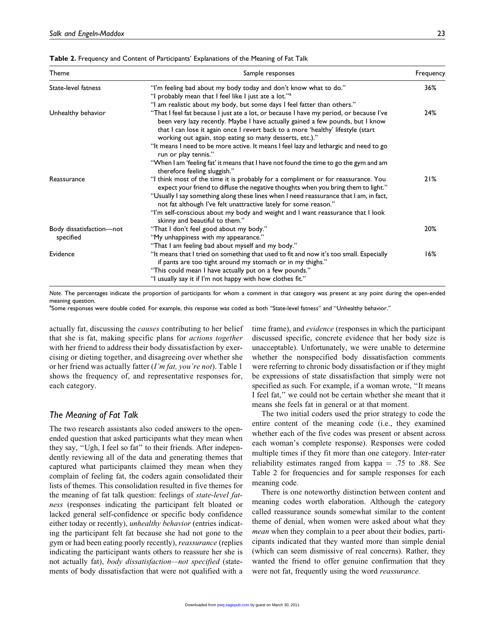| <b>Theme</b>             | Sample responses                                                                                                                                                                                                                                                                                                                                                                                                         | Frequency |
|--------------------------|--------------------------------------------------------------------------------------------------------------------------------------------------------------------------------------------------------------------------------------------------------------------------------------------------------------------------------------------------------------------------------------------------------------------------|-----------|
| State-level fatness      | "I'm feeling bad about my body today and don't know what to do."<br>"I probably mean that I feel like I just ate a lot." <sup>a</sup>                                                                                                                                                                                                                                                                                    |           |
|                          | "I am realistic about my body, but some days I feel fatter than others."                                                                                                                                                                                                                                                                                                                                                 |           |
| Unhealthy behavior       | "That I feel fat because I just ate a lot, or because I have my period, or because I've<br>been very lazy recently. Maybe I have actually gained a few pounds, but I know<br>that I can lose it again once I revert back to a more 'healthy' lifestyle (start<br>working out again, stop eating so many desserts, etc.)."                                                                                                | 24%       |
|                          | "It means I need to be more active. It means I feel lazy and lethargic and need to go<br>run or play tennis."                                                                                                                                                                                                                                                                                                            |           |
|                          | "When I am 'feeling fat' it means that I have not found the time to go the gym and am<br>therefore feeling sluggish."                                                                                                                                                                                                                                                                                                    |           |
| Reassurance              | "I think most of the time it is probably for a compliment or for reassurance. You<br>expect your friend to diffuse the negative thoughts when you bring them to light."<br>"Usually I say something along these lines when I need reassurance that I am, in fact,<br>not fat although I've felt unattractive lately for some reason."<br>"I'm self-conscious about my body and weight and I want reassurance that I look | 21%       |
|                          | skinny and beautiful to them."                                                                                                                                                                                                                                                                                                                                                                                           |           |
| Body dissatisfaction-not | "That I don't feel good about my body."                                                                                                                                                                                                                                                                                                                                                                                  | 20%       |
| specified                | "My unhappiness with my appearance."                                                                                                                                                                                                                                                                                                                                                                                     |           |
|                          | "That I am feeling bad about myself and my body."                                                                                                                                                                                                                                                                                                                                                                        |           |
| Evidence                 | "It means that I tried on something that used to fit and now it's too small. Especially<br>if pants are too tight around my stomach or in my thighs."<br>"This could mean I have actually put on a few pounds."<br>"I usually say it if I'm not happy with how clothes fit."                                                                                                                                             | 16%       |

Table 2. Frequency and Content of Participants' Explanations of the Meaning of Fat Talk

Note. The percentages indicate the proportion of participants for whom a comment in that category was present at any point during the open-ended meaning question.

<sup>a</sup>Some responses were double coded. For example, this response was coded as both "State-level fatness" and "Unhealthy behavior."

actually fat, discussing the *causes* contributing to her belief that she is fat, making specific plans for actions together with her friend to address their body dissatisfaction by exercising or dieting together, and disagreeing over whether she or her friend was actually fatter (I'm fat, you're not). Table 1 shows the frequency of, and representative responses for, each category.

#### The Meaning of Fat Talk

The two research assistants also coded answers to the openended question that asked participants what they mean when they say, ''Ugh, I feel so fat'' to their friends. After independently reviewing all of the data and generating themes that captured what participants claimed they mean when they complain of feeling fat, the coders again consolidated their lists of themes. This consolidation resulted in five themes for the meaning of fat talk question: feelings of state-level fatness (responses indicating the participant felt bloated or lacked general self-confidence or specific body confidence either today or recently), unhealthy behavior (entries indicating the participant felt fat because she had not gone to the gym or had been eating poorly recently), reassurance (replies indicating the participant wants others to reassure her she is not actually fat), body dissatisfaction—not specified (statements of body dissatisfaction that were not qualified with a

time frame), and evidence (responses in which the participant discussed specific, concrete evidence that her body size is unacceptable). Unfortunately, we were unable to determine whether the nonspecified body dissatisfaction comments were referring to chronic body dissatisfaction or if they might be expressions of state dissatisfaction that simply were not specified as such. For example, if a woman wrote, ''It means I feel fat,'' we could not be certain whether she meant that it means she feels fat in general or at that moment.

The two initial coders used the prior strategy to code the entire content of the meaning code (i.e., they examined whether each of the five codes was present or absent across each woman's complete response). Responses were coded multiple times if they fit more than one category. Inter-rater reliability estimates ranged from kappa  $= .75$  to .88. See Table 2 for frequencies and for sample responses for each meaning code.

There is one noteworthy distinction between content and meaning codes worth elaboration. Although the category called reassurance sounds somewhat similar to the content theme of denial, when women were asked about what they mean when they complain to a peer about their bodies, participants indicated that they wanted more than simple denial (which can seem dismissive of real concerns). Rather, they wanted the friend to offer genuine confirmation that they were not fat, frequently using the word reassurance.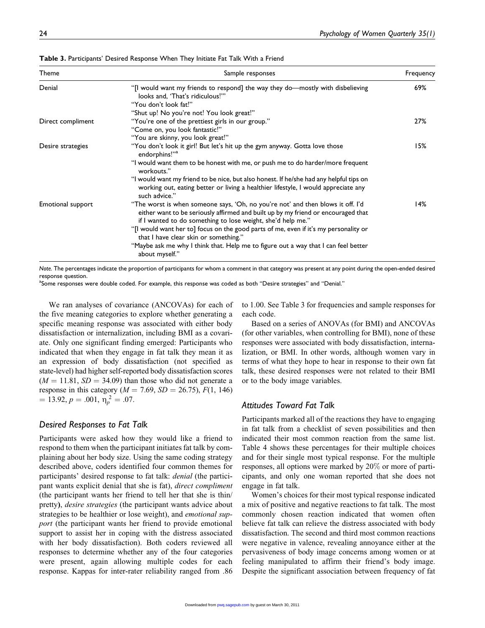| Theme             | Sample responses                                                                                                                                                                                                                    | Frequency |
|-------------------|-------------------------------------------------------------------------------------------------------------------------------------------------------------------------------------------------------------------------------------|-----------|
| Denial            | "[I would want my friends to respond] the way they do—mostly with disbelieving<br>looks and, 'That's ridiculous!""                                                                                                                  |           |
|                   | "You don't look fat!"                                                                                                                                                                                                               |           |
|                   | "Shut up! No you're not! You look great!"                                                                                                                                                                                           |           |
| Direct compliment | "You're one of the prettiest girls in our group."                                                                                                                                                                                   | 27%       |
|                   | "Come on, you look fantastic!"                                                                                                                                                                                                      |           |
|                   | "You are skinny, you look great!"                                                                                                                                                                                                   |           |
| Desire strategies | "You don't look it girl! But let's hit up the gym anyway. Gotta love those<br>endorphins!" <sup>a</sup>                                                                                                                             | 15%       |
|                   | "I would want them to be honest with me, or push me to do harder/more frequent<br>workouts."                                                                                                                                        |           |
|                   | "I would want my friend to be nice, but also honest. If he/she had any helpful tips on<br>working out, eating better or living a healthier lifestyle, I would appreciate any<br>such advice."                                       |           |
| Emotional support | "The worst is when someone says, 'Oh, no you're not' and then blows it off. I'd<br>either want to be seriously affirmed and built up by my friend or encouraged that<br>if I wanted to do something to lose weight, she'd help me." | 14%       |
|                   | "[I would want her to] focus on the good parts of me, even if it's my personality or<br>that I have clear skin or something."                                                                                                       |           |
|                   | "Maybe ask me why I think that. Help me to figure out a way that I can feel better<br>about myself."                                                                                                                                |           |

Table 3. Participants' Desired Response When They Initiate Fat Talk With a Friend

Note. The percentages indicate the proportion of participants for whom a comment in that category was present at any point during the open-ended desired response question.

<sup>a</sup>Some responses were double coded. For example, this response was coded as both "Desire strategies" and "Denial."

We ran analyses of covariance (ANCOVAs) for each of the five meaning categories to explore whether generating a specific meaning response was associated with either body dissatisfaction or internalization, including BMI as a covariate. Only one significant finding emerged: Participants who indicated that when they engage in fat talk they mean it as an expression of body dissatisfaction (not specified as state-level) had higher self-reported body dissatisfaction scores  $(M = 11.81, SD = 34.09)$  than those who did not generate a response in this category ( $M = 7.69$ ,  $SD = 26.75$ ),  $F(1, 146)$  $= 13.92, p = .001, \eta_p^2 = .07.$ 

### Desired Responses to Fat Talk

Participants were asked how they would like a friend to respond to them when the participant initiates fat talk by complaining about her body size. Using the same coding strategy described above, coders identified four common themes for participants' desired response to fat talk: denial (the participant wants explicit denial that she is fat), direct compliment (the participant wants her friend to tell her that she is thin/ pretty), desire strategies (the participant wants advice about strategies to be healthier or lose weight), and emotional support (the participant wants her friend to provide emotional support to assist her in coping with the distress associated with her body dissatisfaction). Both coders reviewed all responses to determine whether any of the four categories were present, again allowing multiple codes for each response. Kappas for inter-rater reliability ranged from .86 to 1.00. See Table 3 for frequencies and sample responses for each code.

Based on a series of ANOVAs (for BMI) and ANCOVAs (for other variables, when controlling for BMI), none of these responses were associated with body dissatisfaction, internalization, or BMI. In other words, although women vary in terms of what they hope to hear in response to their own fat talk, these desired responses were not related to their BMI or to the body image variables.

## Attitudes Toward Fat Talk

Participants marked all of the reactions they have to engaging in fat talk from a checklist of seven possibilities and then indicated their most common reaction from the same list. Table 4 shows these percentages for their multiple choices and for their single most typical response. For the multiple responses, all options were marked by 20% or more of participants, and only one woman reported that she does not engage in fat talk.

Women's choices for their most typical response indicated a mix of positive and negative reactions to fat talk. The most commonly chosen reaction indicated that women often believe fat talk can relieve the distress associated with body dissatisfaction. The second and third most common reactions were negative in valence, revealing annoyance either at the pervasiveness of body image concerns among women or at feeling manipulated to affirm their friend's body image. Despite the significant association between frequency of fat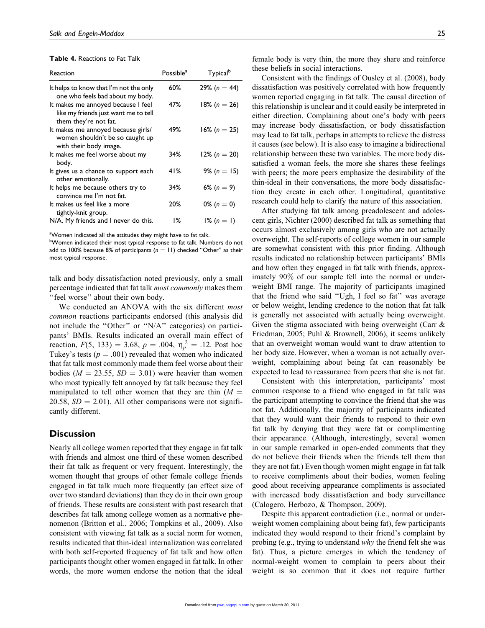| Reaction                                                                                            | Possible <sup>a</sup> | Typical <sup>b</sup> |
|-----------------------------------------------------------------------------------------------------|-----------------------|----------------------|
| It helps to know that I'm not the only<br>one who feels bad about my body.                          | 60%                   | 29% ( $n = 44$ )     |
| It makes me annoyed because I feel<br>like my friends just want me to tell<br>them they're not fat. | 47%                   | 18% (n = 26)         |
| It makes me annoyed because girls/<br>women shouldn't be so caught up<br>with their body image.     | 49%                   | 16% (n = 25)         |
| It makes me feel worse about my<br>body.                                                            | 34%                   | 12% ( $n = 20$ )     |
| It gives us a chance to support each<br>other emotionally.                                          | 41%                   | 9% ( $n = 15$ )      |
| It helps me because others try to<br>convince me I'm not fat.                                       | 34%                   | 6% ( $n = 9$ )       |
| It makes us feel like a more<br>tightly-knit group.                                                 | 20%                   | 0% ( $n = 0$ )       |
| N/A. My friends and I never do this.                                                                | 1%                    | $1\%$ (n = 1)        |

<sup>a</sup>Women indicated all the attitudes they might have to fat talk.

<sup>b</sup>Women indicated their most typical response to fat talk. Numbers do not add to 100% because 8% of participants ( $n = 11$ ) checked "Other" as their most typical response.

talk and body dissatisfaction noted previously, only a small percentage indicated that fat talk most commonly makes them "feel worse" about their own body.

We conducted an ANOVA with the six different *most* common reactions participants endorsed (this analysis did not include the ''Other'' or ''N/A'' categories) on participants' BMIs. Results indicated an overall main effect of reaction,  $F(5, 133) = 3.68$ ,  $p = .004$ ,  $\eta_p^2 = .12$ . Post hoc Tukey's tests ( $p = .001$ ) revealed that women who indicated that fat talk most commonly made them feel worse about their bodies ( $M = 23.55$ ,  $SD = 3.01$ ) were heavier than women who most typically felt annoyed by fat talk because they feel manipulated to tell other women that they are thin  $(M =$ 20.58,  $SD = 2.01$ ). All other comparisons were not significantly different.

## **Discussion**

Nearly all college women reported that they engage in fat talk with friends and almost one third of these women described their fat talk as frequent or very frequent. Interestingly, the women thought that groups of other female college friends engaged in fat talk much more frequently (an effect size of over two standard deviations) than they do in their own group of friends. These results are consistent with past research that describes fat talk among college women as a normative phenomenon (Britton et al., 2006; Tompkins et al., 2009). Also consistent with viewing fat talk as a social norm for women, results indicated that thin-ideal internalization was correlated with both self-reported frequency of fat talk and how often participants thought other women engaged in fat talk. In other words, the more women endorse the notion that the ideal

female body is very thin, the more they share and reinforce these beliefs in social interactions.

Consistent with the findings of Ousley et al. (2008), body dissatisfaction was positively correlated with how frequently women reported engaging in fat talk. The causal direction of this relationship is unclear and it could easily be interpreted in either direction. Complaining about one's body with peers may increase body dissatisfaction, or body dissatisfaction may lead to fat talk, perhaps in attempts to relieve the distress it causes (see below). It is also easy to imagine a bidirectional relationship between these two variables. The more body dissatisfied a woman feels, the more she shares these feelings with peers; the more peers emphasize the desirability of the thin-ideal in their conversations, the more body dissatisfaction they create in each other. Longitudinal, quantitative research could help to clarify the nature of this association.

After studying fat talk among preadolescent and adolescent girls, Nichter (2000) described fat talk as something that occurs almost exclusively among girls who are not actually overweight. The self-reports of college women in our sample are somewhat consistent with this prior finding. Although results indicated no relationship between participants' BMIs and how often they engaged in fat talk with friends, approximately 90% of our sample fell into the normal or underweight BMI range. The majority of participants imagined that the friend who said ''Ugh, I feel so fat'' was average or below weight, lending credence to the notion that fat talk is generally not associated with actually being overweight. Given the stigma associated with being overweight (Carr & Friedman, 2005; Puhl & Brownell, 2006), it seems unlikely that an overweight woman would want to draw attention to her body size. However, when a woman is not actually overweight, complaining about being fat can reasonably be expected to lead to reassurance from peers that she is not fat.

Consistent with this interpretation, participants' most common response to a friend who engaged in fat talk was the participant attempting to convince the friend that she was not fat. Additionally, the majority of participants indicated that they would want their friends to respond to their own fat talk by denying that they were fat or complimenting their appearance. (Although, interestingly, several women in our sample remarked in open-ended comments that they do not believe their friends when the friends tell them that they are not fat.) Even though women might engage in fat talk to receive compliments about their bodies, women feeling good about receiving appearance compliments is associated with increased body dissatisfaction and body surveillance (Calogero, Herbozo, & Thompson, 2009).

Despite this apparent contradiction (i.e., normal or underweight women complaining about being fat), few participants indicated they would respond to their friend's complaint by probing (e.g., trying to understand why the friend felt she was fat). Thus, a picture emerges in which the tendency of normal-weight women to complain to peers about their weight is so common that it does not require further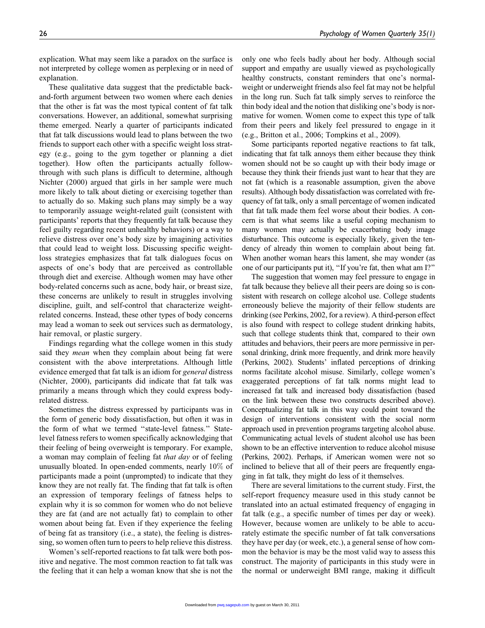explication. What may seem like a paradox on the surface is not interpreted by college women as perplexing or in need of explanation.

These qualitative data suggest that the predictable backand-forth argument between two women where each denies that the other is fat was the most typical content of fat talk conversations. However, an additional, somewhat surprising theme emerged. Nearly a quarter of participants indicated that fat talk discussions would lead to plans between the two friends to support each other with a specific weight loss strategy (e.g., going to the gym together or planning a diet together). How often the participants actually followthrough with such plans is difficult to determine, although Nichter (2000) argued that girls in her sample were much more likely to talk about dieting or exercising together than to actually do so. Making such plans may simply be a way to temporarily assuage weight-related guilt (consistent with participants' reports that they frequently fat talk because they feel guilty regarding recent unhealthy behaviors) or a way to relieve distress over one's body size by imagining activities that could lead to weight loss. Discussing specific weightloss strategies emphasizes that fat talk dialogues focus on aspects of one's body that are perceived as controllable through diet and exercise. Although women may have other body-related concerns such as acne, body hair, or breast size, these concerns are unlikely to result in struggles involving discipline, guilt, and self-control that characterize weightrelated concerns. Instead, these other types of body concerns may lead a woman to seek out services such as dermatology, hair removal, or plastic surgery.

Findings regarding what the college women in this study said they *mean* when they complain about being fat were consistent with the above interpretations. Although little evidence emerged that fat talk is an idiom for *general* distress (Nichter, 2000), participants did indicate that fat talk was primarily a means through which they could express bodyrelated distress.

Sometimes the distress expressed by participants was in the form of generic body dissatisfaction, but often it was in the form of what we termed ''state-level fatness.'' Statelevel fatness refers to women specifically acknowledging that their feeling of being overweight is temporary. For example, a woman may complain of feeling fat that day or of feeling unusually bloated. In open-ended comments, nearly 10% of participants made a point (unprompted) to indicate that they know they are not really fat. The finding that fat talk is often an expression of temporary feelings of fatness helps to explain why it is so common for women who do not believe they are fat (and are not actually fat) to complain to other women about being fat. Even if they experience the feeling of being fat as transitory (i.e., a state), the feeling is distressing, so women often turn to peers to help relieve this distress.

Women's self-reported reactions to fat talk were both positive and negative. The most common reaction to fat talk was the feeling that it can help a woman know that she is not the only one who feels badly about her body. Although social support and empathy are usually viewed as psychologically healthy constructs, constant reminders that one's normalweight or underweight friends also feel fat may not be helpful in the long run. Such fat talk simply serves to reinforce the thin body ideal and the notion that disliking one's body is normative for women. Women come to expect this type of talk from their peers and likely feel pressured to engage in it (e.g., Britton et al., 2006; Tompkins et al., 2009).

Some participants reported negative reactions to fat talk, indicating that fat talk annoys them either because they think women should not be so caught up with their body image or because they think their friends just want to hear that they are not fat (which is a reasonable assumption, given the above results). Although body dissatisfaction was correlated with frequency of fat talk, only a small percentage of women indicated that fat talk made them feel worse about their bodies. A concern is that what seems like a useful coping mechanism to many women may actually be exacerbating body image disturbance. This outcome is especially likely, given the tendency of already thin women to complain about being fat. When another woman hears this lament, she may wonder (as one of our participants put it), ''If you're fat, then what am I?''

The suggestion that women may feel pressure to engage in fat talk because they believe all their peers are doing so is consistent with research on college alcohol use. College students erroneously believe the majority of their fellow students are drinking (see Perkins, 2002, for a review). A third-person effect is also found with respect to college student drinking habits, such that college students think that, compared to their own attitudes and behaviors, their peers are more permissive in personal drinking, drink more frequently, and drink more heavily (Perkins, 2002). Students' inflated perceptions of drinking norms facilitate alcohol misuse. Similarly, college women's exaggerated perceptions of fat talk norms might lead to increased fat talk and increased body dissatisfaction (based on the link between these two constructs described above). Conceptualizing fat talk in this way could point toward the design of interventions consistent with the social norm approach used in prevention programs targeting alcohol abuse. Communicating actual levels of student alcohol use has been shown to be an effective intervention to reduce alcohol misuse (Perkins, 2002). Perhaps, if American women were not so inclined to believe that all of their peers are frequently engaging in fat talk, they might do less of it themselves.

There are several limitations to the current study. First, the self-report frequency measure used in this study cannot be translated into an actual estimated frequency of engaging in fat talk (e.g., a specific number of times per day or week). However, because women are unlikely to be able to accurately estimate the specific number of fat talk conversations they have per day (or week, etc.), a general sense of how common the behavior is may be the most valid way to assess this construct. The majority of participants in this study were in the normal or underweight BMI range, making it difficult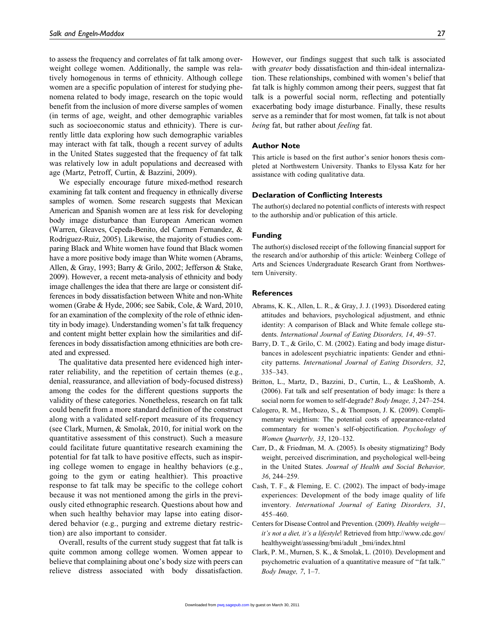to assess the frequency and correlates of fat talk among overweight college women. Additionally, the sample was relatively homogenous in terms of ethnicity. Although college women are a specific population of interest for studying phenomena related to body image, research on the topic would benefit from the inclusion of more diverse samples of women (in terms of age, weight, and other demographic variables such as socioeconomic status and ethnicity). There is currently little data exploring how such demographic variables may interact with fat talk, though a recent survey of adults in the United States suggested that the frequency of fat talk was relatively low in adult populations and decreased with age (Martz, Petroff, Curtin, & Bazzini, 2009).

We especially encourage future mixed-method research examining fat talk content and frequency in ethnically diverse samples of women. Some research suggests that Mexican American and Spanish women are at less risk for developing body image disturbance than European American women (Warren, Gleaves, Cepeda-Benito, del Carmen Fernandez, & Rodriguez-Ruiz, 2005). Likewise, the majority of studies comparing Black and White women have found that Black women have a more positive body image than White women (Abrams, Allen, & Gray, 1993; Barry & Grilo, 2002; Jefferson & Stake, 2009). However, a recent meta-analysis of ethnicity and body image challenges the idea that there are large or consistent differences in body dissatisfaction between White and non-White women (Grabe & Hyde, 2006; see Sabik, Cole, & Ward, 2010, for an examination of the complexity of the role of ethnic identity in body image). Understanding women's fat talk frequency and content might better explain how the similarities and differences in body dissatisfaction among ethnicities are both created and expressed.

The qualitative data presented here evidenced high interrater reliability, and the repetition of certain themes (e.g., denial, reassurance, and alleviation of body-focused distress) among the codes for the different questions supports the validity of these categories. Nonetheless, research on fat talk could benefit from a more standard definition of the construct along with a validated self-report measure of its frequency (see Clark, Murnen, & Smolak, 2010, for initial work on the quantitative assessment of this construct). Such a measure could facilitate future quantitative research examining the potential for fat talk to have positive effects, such as inspiring college women to engage in healthy behaviors (e.g., going to the gym or eating healthier). This proactive response to fat talk may be specific to the college cohort because it was not mentioned among the girls in the previously cited ethnographic research. Questions about how and when such healthy behavior may lapse into eating disordered behavior (e.g., purging and extreme dietary restriction) are also important to consider.

Overall, results of the current study suggest that fat talk is quite common among college women. Women appear to believe that complaining about one's body size with peers can relieve distress associated with body dissatisfaction.

However, our findings suggest that such talk is associated with *greater* body dissatisfaction and thin-ideal internalization. These relationships, combined with women's belief that fat talk is highly common among their peers, suggest that fat talk is a powerful social norm, reflecting and potentially exacerbating body image disturbance. Finally, these results serve as a reminder that for most women, fat talk is not about being fat, but rather about feeling fat.

#### Author Note

This article is based on the first author's senior honors thesis completed at Northwestern University. Thanks to Elyssa Katz for her assistance with coding qualitative data.

### Declaration of Conflicting Interests

The author(s) declared no potential conflicts of interests with respect to the authorship and/or publication of this article.

#### Funding

The author(s) disclosed receipt of the following financial support for the research and/or authorship of this article: Weinberg College of Arts and Sciences Undergraduate Research Grant from Northwestern University.

#### **References**

- Abrams, K. K., Allen, L. R., & Gray, J. J. (1993). Disordered eating attitudes and behaviors, psychological adjustment, and ethnic identity: A comparison of Black and White female college students. International Journal of Eating Disorders, 14, 49–57.
- Barry, D. T., & Grilo, C. M. (2002). Eating and body image disturbances in adolescent psychiatric inpatients: Gender and ethnicity patterns. International Journal of Eating Disorders, 32, 335–343.
- Britton, L., Martz, D., Bazzini, D., Curtin, L., & LeaShomb, A. (2006). Fat talk and self presentation of body image: Is there a social norm for women to self-degrade? Body Image, 3, 247–254.
- Calogero, R. M., Herbozo, S., & Thompson, J. K. (2009). Complimentary weightism: The potential costs of appearance-related commentary for women's self-objectification. Psychology of Women Quarterly, 33, 120–132.
- Carr, D., & Friedman, M. A. (2005). Is obesity stigmatizing? Body weight, perceived discrimination, and psychological well-being in the United States. Journal of Health and Social Behavior, 36, 244–259.
- Cash, T. F., & Fleming, E. C. (2002). The impact of body-image experiences: Development of the body image quality of life inventory. International Journal of Eating Disorders, 31, 455–460.
- Centers for Disease Control and Prevention. (2009). Healthy weight it's not a diet, it's a lifestyle! Retrieved from http://www.cdc.gov/ healthyweight/assessing/bmi/adult \_bmi/index.html
- Clark, P. M., Murnen, S. K., & Smolak, L. (2010). Development and psychometric evaluation of a quantitative measure of ''fat talk.'' Body Image, 7, 1–7.